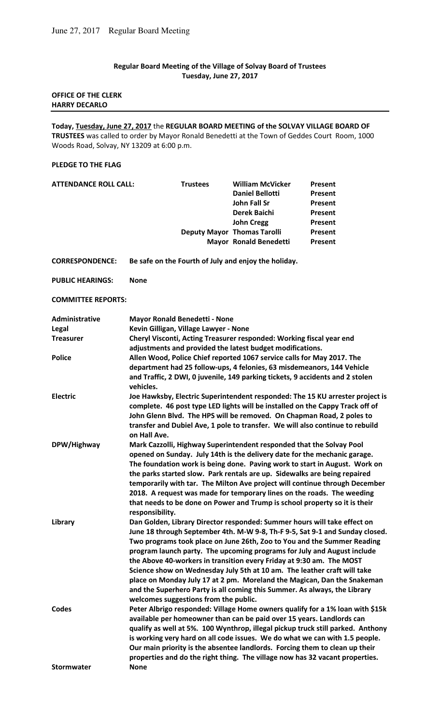## **Regular Board Meeting of the Village of Solvay Board of Trustees Tuesday, June 27, 2017**

## **OFFICE OF THE CLERK HARRY DECARLO**

**Today, Tuesday, June 27, 2017** the **REGULAR BOARD MEETING of the SOLVAY VILLAGE BOARD OF TRUSTEES** was called to order by Mayor Ronald Benedetti at the Town of Geddes Court Room, 1000 Woods Road, Solvay, NY 13209 at 6:00 p.m.

## **PLEDGE TO THE FLAG**

| ATTENDANCE ROLL CALL: | <b>Trustees</b> | <b>William McVicker</b>            | Present        |
|-----------------------|-----------------|------------------------------------|----------------|
|                       |                 | <b>Daniel Bellotti</b>             | Present        |
|                       |                 | John Fall Sr                       | Present        |
|                       |                 | Derek Baichi                       | Present        |
|                       |                 | <b>John Cregg</b>                  | Present        |
|                       |                 | <b>Deputy Mayor Thomas Tarolli</b> | <b>Present</b> |
|                       |                 | <b>Mayor Ronald Benedetti</b>      | <b>Present</b> |
|                       |                 |                                    |                |

**CORRESPONDENCE: Be safe on the Fourth of July and enjoy the holiday.** 

**PUBLIC HEARINGS: None** 

**COMMITTEE REPORTS:** 

| Administrative    | <b>Mayor Ronald Benedetti - None</b>                                                                                                                 |
|-------------------|------------------------------------------------------------------------------------------------------------------------------------------------------|
| Legal             | Kevin Gilligan, Village Lawyer - None                                                                                                                |
| <b>Treasurer</b>  | Cheryl Visconti, Acting Treasurer responded: Working fiscal year end<br>adjustments and provided the latest budget modifications.                    |
| <b>Police</b>     | Allen Wood, Police Chief reported 1067 service calls for May 2017. The                                                                               |
|                   | department had 25 follow-ups, 4 felonies, 63 misdemeanors, 144 Vehicle                                                                               |
|                   | and Traffic, 2 DWI, 0 juvenile, 149 parking tickets, 9 accidents and 2 stolen<br>vehicles.                                                           |
| <b>Electric</b>   | Joe Hawksby, Electric Superintendent responded: The 15 KU arrester project is                                                                        |
|                   | complete. 46 post type LED lights will be installed on the Cappy Track off of                                                                        |
|                   | John Glenn Blvd. The HPS will be removed. On Chapman Road, 2 poles to                                                                                |
|                   | transfer and Dubiel Ave, 1 pole to transfer. We will also continue to rebuild<br>on Hall Ave.                                                        |
| DPW/Highway       | Mark Cazzolli, Highway Superintendent responded that the Solvay Pool                                                                                 |
|                   | opened on Sunday. July 14th is the delivery date for the mechanic garage.                                                                            |
|                   | The foundation work is being done. Paving work to start in August. Work on                                                                           |
|                   | the parks started slow. Park rentals are up. Sidewalks are being repaired                                                                            |
|                   | temporarily with tar. The Milton Ave project will continue through December                                                                          |
|                   | 2018. A request was made for temporary lines on the roads. The weeding                                                                               |
|                   | that needs to be done on Power and Trump is school property so it is their                                                                           |
|                   | responsibility.                                                                                                                                      |
| Library           | Dan Golden, Library Director responded: Summer hours will take effect on                                                                             |
|                   | June 18 through September 4th. M-W 9-8, Th-F 9-5, Sat 9-1 and Sunday closed.                                                                         |
|                   | Two programs took place on June 26th, Zoo to You and the Summer Reading                                                                              |
|                   | program launch party. The upcoming programs for July and August include                                                                              |
|                   | the Above 40-workers in transition every Friday at 9:30 am. The MOST                                                                                 |
|                   | Science show on Wednesday July 5th at 10 am. The leather craft will take                                                                             |
|                   | place on Monday July 17 at 2 pm. Moreland the Magican, Dan the Snakeman<br>and the Superhero Party is all coming this Summer. As always, the Library |
|                   | welcomes suggestions from the public.                                                                                                                |
| <b>Codes</b>      | Peter Albrigo responded: Village Home owners qualify for a 1% loan with \$15k                                                                        |
|                   | available per homeowner than can be paid over 15 years. Landlords can                                                                                |
|                   | qualify as well at 5%. 100 Wynthrop, illegal pickup truck still parked. Anthony                                                                      |
|                   | is working very hard on all code issues. We do what we can with 1.5 people.                                                                          |
|                   | Our main priority is the absentee landlords. Forcing them to clean up their                                                                          |
|                   | properties and do the right thing. The village now has 32 vacant properties.                                                                         |
| <b>Stormwater</b> | <b>None</b>                                                                                                                                          |
|                   |                                                                                                                                                      |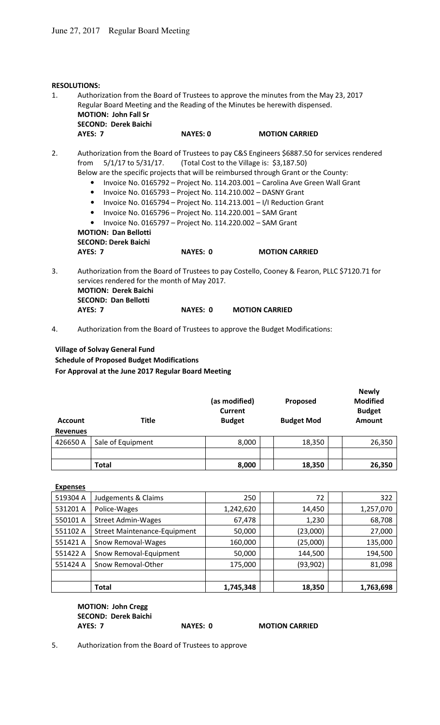|    | <b>RESOLUTIONS:</b>                                                                                                                                                                                                                                                                                                                                                                                                                                                                                                                                                                                                                                                                                                                            |                                                                                                            |                 |                                                                                               |  |  |
|----|------------------------------------------------------------------------------------------------------------------------------------------------------------------------------------------------------------------------------------------------------------------------------------------------------------------------------------------------------------------------------------------------------------------------------------------------------------------------------------------------------------------------------------------------------------------------------------------------------------------------------------------------------------------------------------------------------------------------------------------------|------------------------------------------------------------------------------------------------------------|-----------------|-----------------------------------------------------------------------------------------------|--|--|
| 1. | Authorization from the Board of Trustees to approve the minutes from the May 23, 2017<br>Regular Board Meeting and the Reading of the Minutes be herewith dispensed.<br><b>MOTION: John Fall Sr</b><br><b>SECOND: Derek Baichi</b>                                                                                                                                                                                                                                                                                                                                                                                                                                                                                                             |                                                                                                            |                 |                                                                                               |  |  |
|    | <b>AYES: 7</b>                                                                                                                                                                                                                                                                                                                                                                                                                                                                                                                                                                                                                                                                                                                                 |                                                                                                            | <b>NAYES: 0</b> | <b>MOTION CARRIED</b>                                                                         |  |  |
| 2. | Authorization from the Board of Trustees to pay C&S Engineers \$6887.50 for services rendered<br>5/1/17 to 5/31/17. (Total Cost to the Village is: \$3,187.50)<br>from<br>Below are the specific projects that will be reimbursed through Grant or the County:<br>Invoice No. 0165792 - Project No. 114.203.001 - Carolina Ave Green Wall Grant<br>$\bullet$<br>Invoice No. 0165793 - Project No. 114.210.002 - DASNY Grant<br>$\bullet$<br>Invoice No. 0165794 - Project No. 114.213.001 - I/I Reduction Grant<br>$\bullet$<br>Invoice No. 0165796 - Project No. 114.220.001 - SAM Grant<br>$\bullet$<br>Invoice No. 0165797 - Project No. 114.220.002 - SAM Grant<br>$\bullet$<br><b>MOTION: Dan Bellotti</b><br><b>SECOND: Derek Baichi</b> |                                                                                                            |                 |                                                                                               |  |  |
|    | <b>AYES: 7</b>                                                                                                                                                                                                                                                                                                                                                                                                                                                                                                                                                                                                                                                                                                                                 |                                                                                                            | <b>NAYES: 0</b> | <b>MOTION CARRIED</b>                                                                         |  |  |
| 3. |                                                                                                                                                                                                                                                                                                                                                                                                                                                                                                                                                                                                                                                                                                                                                | services rendered for the month of May 2017.<br><b>MOTION: Derek Baichi</b><br><b>SECOND: Dan Bellotti</b> |                 | Authorization from the Board of Trustees to pay Costello, Cooney & Fearon, PLLC \$7120.71 for |  |  |

4. Authorization from the Board of Trustees to approve the Budget Modifications:

 **AYES: 7 NAYES: 0 MOTION CARRIED** 

## **Village of Solvay General Fund Schedule of Proposed Budget Modifications For Approval at the June 2017 Regular Board Meeting**

| <b>Title</b><br><b>Account</b><br><b>Revenues</b> |                   | (as modified)<br><b>Current</b><br><b>Budget</b> | Proposed<br><b>Budget Mod</b> | <b>Newly</b><br><b>Modified</b><br><b>Budget</b><br><b>Amount</b> |
|---------------------------------------------------|-------------------|--------------------------------------------------|-------------------------------|-------------------------------------------------------------------|
| 426650 A                                          | Sale of Equipment | 8,000                                            | 18,350                        | 26,350                                                            |
|                                                   |                   |                                                  |                               |                                                                   |
|                                                   | <b>Total</b>      | 8,000                                            | 18,350                        | 26,350                                                            |

| <b>Expenses</b> |                                     |           |           |           |
|-----------------|-------------------------------------|-----------|-----------|-----------|
| 519304 A        | Judgements & Claims                 | 250       | 72        | 322       |
| 531201 A        | Police-Wages                        | 1,242,620 | 14,450    | 1,257,070 |
| 550101 A        | <b>Street Admin-Wages</b>           | 67,478    | 1,230     | 68,708    |
| 551102 A        | <b>Street Maintenance-Equipment</b> | 50,000    | (23,000)  | 27,000    |
| 551421 A        | Snow Removal-Wages                  | 160,000   | (25,000)  | 135,000   |
| 551422 A        | Snow Removal-Equipment              | 50,000    | 144,500   | 194,500   |
| 551424 A        | Snow Removal-Other                  | 175,000   | (93, 902) | 81,098    |
|                 |                                     |           |           |           |
|                 | <b>Total</b>                        | 1,745,348 | 18,350    | 1,763,698 |

 **MOTION: John Cregg SECOND: Derek Baichi AYES: 7** NAYES: 0 MOTION CARRIED

5. Authorization from the Board of Trustees to approve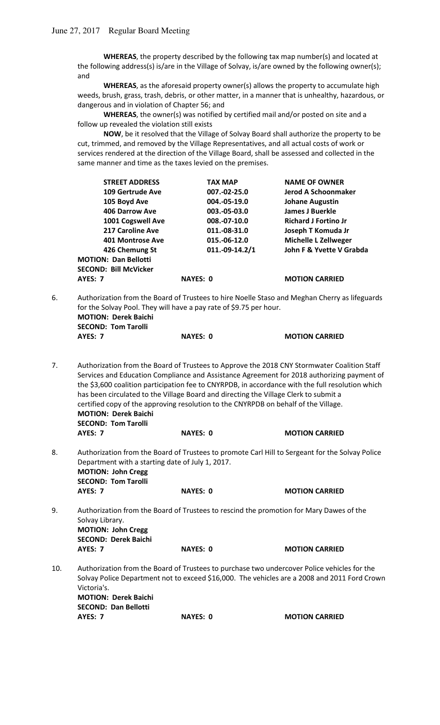**WHEREAS**, the property described by the following tax map number(s) and located at the following address(s) is/are in the Village of Solvay, is/are owned by the following owner(s); and

 **WHEREAS**, as the aforesaid property owner(s) allows the property to accumulate high weeds, brush, grass, trash, debris, or other matter, in a manner that is unhealthy, hazardous, or dangerous and in violation of Chapter 56; and

 **WHEREAS**, the owner(s) was notified by certified mail and/or posted on site and a follow up revealed the violation still exists

 **NOW**, be it resolved that the Village of Solvay Board shall authorize the property to be cut, trimmed, and removed by the Village Representatives, and all actual costs of work or services rendered at the direction of the Village Board, shall be assessed and collected in the same manner and time as the taxes levied on the premises.

| <b>STREET ADDRESS</b>       | <b>TAX MAP</b>  | <b>NAME OF OWNER</b>        |
|-----------------------------|-----------------|-----------------------------|
| 109 Gertrude Ave            | 007.-02-25.0    | Jerod A Schoonmaker         |
| 105 Boyd Ave                | 004.-05-19.0    | <b>Johane Augustin</b>      |
| <b>406 Darrow Ave</b>       | 003.-05-03.0    | James J Buerkle             |
| 1001 Cogswell Ave           | 008.-07-10.0    | <b>Richard J Fortino Jr</b> |
| 217 Caroline Ave            | 011.-08-31.0    | Joseph T Komuda Jr          |
| 401 Montrose Ave            | 015.-06-12.0    | <b>Michelle L Zellweger</b> |
| 426 Chemung St              | 011.-09-14.2/1  | John F & Yvette V Grabda    |
| <b>MOTION: Dan Bellotti</b> |                 |                             |
| SECOND: Bill McVicker       |                 |                             |
| AYES: 7                     | <b>NAYES: 0</b> | <b>MOTION CARRIED</b>       |
|                             |                 |                             |

6. Authorization from the Board of Trustees to hire Noelle Staso and Meghan Cherry as lifeguards for the Solvay Pool. They will have a pay rate of \$9.75 per hour. **MOTION: Derek Baichi SECOND: Tom Tarolli AYES: 7 NAYES: 0 MOTION CARRIED** 

7. Authorization from the Board of Trustees to Approve the 2018 CNY Stormwater Coalition Staff Services and Education Compliance and Assistance Agreement for 2018 authorizing payment of the \$3,600 coalition participation fee to CNYRPDB, in accordance with the full resolution which has been circulated to the Village Board and directing the Village Clerk to submit a certified copy of the approving resolution to the CNYRPDB on behalf of the Village. **MOTION: Derek Baichi SECOND: Tom Tarolli AYES: 7 NAYES: 0 MOTION CARRIED** 

- 8. Authorization from the Board of Trustees to promote Carl Hill to Sergeant for the Solvay Police Department with a starting date of July 1, 2017. **MOTION: John Cregg SECOND: Tom Tarolli**  AYES: 7 NAYES: 0 MOTION CARRIED
- 9. Authorization from the Board of Trustees to rescind the promotion for Mary Dawes of the Solvay Library. **MOTION: John Cregg SECOND: Derek Baichi AYES: 7 NAYES: 0 MOTION CARRIED**
- 10. Authorization from the Board of Trustees to purchase two undercover Police vehicles for the Solvay Police Department not to exceed \$16,000. The vehicles are a 2008 and 2011 Ford Crown Victoria's. **MOTION: Derek Baichi SECOND: Dan Bellotti AYES: 7** NAYES: 0 MOTION CARRIED